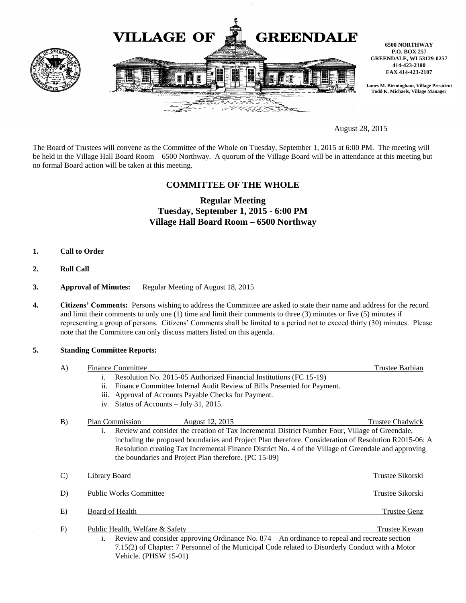

August 28, 2015

The Board of Trustees will convene as the Committee of the Whole on Tuesday, September 1, 2015 at 6:00 PM. The meeting will be held in the Village Hall Board Room – 6500 Northway. A quorum of the Village Board will be in attendance at this meeting but no formal Board action will be taken at this meeting.

# **COMMITTEE OF THE WHOLE**

# **Regular Meeting Tuesday, September 1, 2015 - 6:00 PM Village Hall Board Room – 6500 Northway**

- **1. Call to Order**
- **2. Roll Call**
- **3. Approval of Minutes:** Regular Meeting of August 18, 2015
- **4. Citizens' Comments:** Persons wishing to address the Committee are asked to state their name and address for the record and limit their comments to only one (1) time and limit their comments to three (3) minutes or five (5) minutes if representing a group of persons. Citizens' Comments shall be limited to a period not to exceed thirty (30) minutes. Please note that the Committee can only discuss matters listed on this agenda.

### **5. Standing Committee Reports:**

| A)            | <b>Finance Committee</b>                                                                              | Trustee Barbian     |
|---------------|-------------------------------------------------------------------------------------------------------|---------------------|
|               | Resolution No. 2015-05 Authorized Financial Institutions (FC 15-19)<br>$\mathbf{1}$ .                 |                     |
|               | Finance Committee Internal Audit Review of Bills Presented for Payment.<br>ii.                        |                     |
|               | iii. Approval of Accounts Payable Checks for Payment.                                                 |                     |
|               | iv. Status of Accounts - July 31, 2015.                                                               |                     |
| B)            | Plan Commission<br>August 12, 2015                                                                    | Trustee Chadwick    |
|               | Review and consider the creation of Tax Incremental District Number Four, Village of Greendale,<br>Ť. |                     |
|               | including the proposed boundaries and Project Plan therefore. Consideration of Resolution R2015-06: A |                     |
|               | Resolution creating Tax Incremental Finance District No. 4 of the Village of Greendale and approving  |                     |
|               | the boundaries and Project Plan therefore. (PC 15-09)                                                 |                     |
|               |                                                                                                       |                     |
| $\mathcal{C}$ | <b>Library Board</b>                                                                                  | Trustee Sikorski    |
| D)            | <b>Public Works Committee</b>                                                                         | Trustee Sikorski    |
|               |                                                                                                       |                     |
| E)            | Board of Health                                                                                       | <b>Trustee Genz</b> |
|               |                                                                                                       |                     |
| F)            | Public Health, Welfare & Safety                                                                       | Trustee Kewan       |
|               | Review and consider approving Ordinance No. 874 – An ordinance to repeal and recreate section<br>1.   |                     |
|               | 7.15(2) of Chapter: 7 Personnel of the Municipal Code related to Disorderly Conduct with a Motor      |                     |
|               | Vehicle. (PHSW 15-01)                                                                                 |                     |